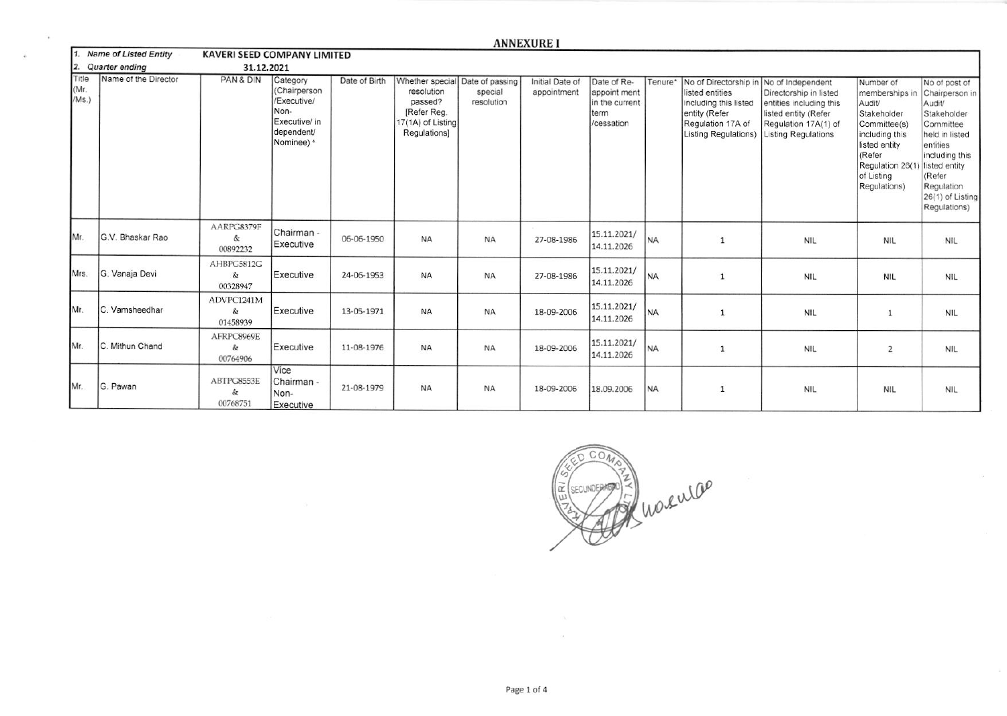|                        |                          |                             |                                                                                              |               |                                                                           |                                                          | <b>ANNEXURE I</b>              |                                                                     |           |                                                                                                                                                   |                                                                                                                                 |                                                                                                                                                                                    |                                                                                                                                                                                  |
|------------------------|--------------------------|-----------------------------|----------------------------------------------------------------------------------------------|---------------|---------------------------------------------------------------------------|----------------------------------------------------------|--------------------------------|---------------------------------------------------------------------|-----------|---------------------------------------------------------------------------------------------------------------------------------------------------|---------------------------------------------------------------------------------------------------------------------------------|------------------------------------------------------------------------------------------------------------------------------------------------------------------------------------|----------------------------------------------------------------------------------------------------------------------------------------------------------------------------------|
|                        | 1. Name of Listed Entity | KAVERI SEED COMPANY LIMITED |                                                                                              |               |                                                                           |                                                          |                                |                                                                     |           |                                                                                                                                                   |                                                                                                                                 |                                                                                                                                                                                    |                                                                                                                                                                                  |
| 2.                     | Quarter ending           | 31.12.2021                  |                                                                                              |               |                                                                           |                                                          |                                |                                                                     |           |                                                                                                                                                   |                                                                                                                                 |                                                                                                                                                                                    |                                                                                                                                                                                  |
| Title<br>(Mr.<br>/Ms.) | Name of the Director     | PAN & DIN                   | Category<br>(Chairperson<br>/Executive/<br>Non-<br>Executive/ in<br>dependent/<br>Nominee) s | Date of Birth | resolution<br>passed?<br>[Refer Reg.<br>17(1A) of Listing<br>Regulations] | Whether special Date of passing<br>special<br>resolution | Initial Date of<br>appointment | Date of Re-<br>appoint ment<br>in the current<br>term<br>/cessation | Tenure*   | No of Directorship in No of Independent<br>listed entities<br>including this listed<br>entity (Refer<br>Regulation 17A of<br>Listing Regulations) | Directorship in listed<br>entities including this<br>listed entity (Refer<br>Regulation 17A(1) of<br><b>Listing Regulations</b> | Number of<br>memberships in Chairperson in<br>Audit/<br>Stakeholder<br>Committee(s)<br>including this<br>listed entity<br>(Refer<br>Regulation 26(1)<br>of Listing<br>Regulations) | No of post of<br>Audit/<br>Stakeholder<br>Committee<br>held in listed<br>entities<br>including this<br>listed entity<br>(Refer<br>Regulation<br>26(1) of Listing<br>Regulations) |
| Mr.                    | <b>G.V. Bhaskar Rao</b>  | AARPG8379F<br>&<br>00892232 | Chairman -<br>Executive                                                                      | 06-06-1950    | <b>NA</b>                                                                 | <b>NA</b>                                                | 27-08-1986                     | 15.11.2021/<br>14.11.2026                                           | <b>NA</b> | 1                                                                                                                                                 | <b>NIL</b>                                                                                                                      | <b>NIL</b>                                                                                                                                                                         | <b>NIL</b>                                                                                                                                                                       |
| Mrs.                   | G. Vanaja Devi           | AHBPG5812G<br>&<br>00328947 | Executive                                                                                    | 24-06-1953    | <b>NA</b>                                                                 | <b>NA</b>                                                | 27-08-1986                     | 15.11.2021/<br>14.11.2026                                           | <b>NA</b> | 1                                                                                                                                                 | <b>NIL</b>                                                                                                                      | <b>NIL</b>                                                                                                                                                                         | <b>NIL</b>                                                                                                                                                                       |
| Mr                     | C. Vamsheedhar           | ADVPC1241M<br>&<br>01458939 | Executive                                                                                    | 13-05-1971    | <b>NA</b>                                                                 | <b>NA</b>                                                | 18-09-2006                     | 15.11.2021/<br>14.11.2026                                           | <b>NA</b> | 1                                                                                                                                                 | <b>NIL</b>                                                                                                                      |                                                                                                                                                                                    | <b>NIL</b>                                                                                                                                                                       |
| Mr.                    | C. Mithun Chand          | AFRPC8969E<br>&<br>00764906 | Executive                                                                                    | 11-08-1976    | <b>NA</b>                                                                 | <b>NA</b>                                                | 18-09-2006                     | 15.11.2021/<br>14.11.2026                                           | <b>NA</b> | 1                                                                                                                                                 | <b>NIL</b>                                                                                                                      | $\overline{2}$                                                                                                                                                                     | <b>NIL</b>                                                                                                                                                                       |

÷,

Mr.

G. Pawan

00764906

ABTPG8553E

 $\&$ 

00768751

Vice

Non-

Chairman -

Executive

21-08-1979

**NA** 

**NA** 

18-09-2006



18.09.2006

N<sub>A</sub>

 $\mathbf{1}$ 

**NIL** 

**NIL** 

**NIL**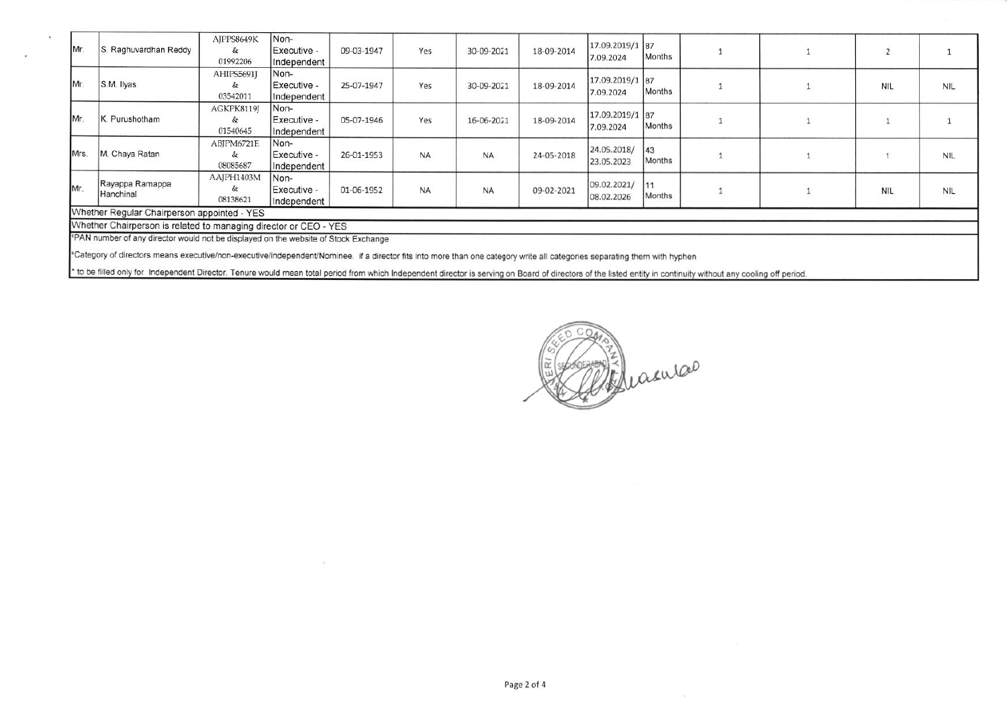| Mr.  | Raghuvardhan Reddy                                                                                                                                                                                            | AJPPS8649K<br>&<br>01992206 | Non-<br>Executive -<br>Independent  | 09-03-1947 | Yes       | 30-09-2021 | 18-09-2014 | 17.09.2019/1 87<br>7.09.2024 | Months       |  | $\overline{2}$ |            |
|------|---------------------------------------------------------------------------------------------------------------------------------------------------------------------------------------------------------------|-----------------------------|-------------------------------------|------------|-----------|------------|------------|------------------------------|--------------|--|----------------|------------|
| IMr. | S.M. Ilyas                                                                                                                                                                                                    | AHIPS5691J<br>&<br>03542011 | Non-<br>Executive -<br>Independent  | 25-07-1947 | Yes       | 30-09-2021 | 18-09-2014 | 17.09.2019/1 87<br>7.09.2024 | Months       |  | <b>NIL</b>     | NIL        |
| Mr.  | K. Purushotham                                                                                                                                                                                                | AGKPK8119J<br>&<br>01540645 | Non-<br>Executive -<br>Independent  | 05-07-1946 | Yes       | 16-06-2021 | 18-09-2014 | 17.09.2019/1 87<br>7.09.2024 | Months       |  |                |            |
| Mrs. | M. Chaya Ratan                                                                                                                                                                                                | ABJPM6721E<br>&<br>08085687 | Non-<br>Executive -<br>Independent  | 26-01-1953 | <b>NA</b> | <b>NA</b>  | 24-05-2018 | 24.05.2018/<br>23.05.2023    | 43<br>Months |  |                | <b>NIL</b> |
| Mr.  | Rayappa Ramappa<br>Hanchinal                                                                                                                                                                                  | AAJPH1403M<br>&<br>08138621 | INon-<br>Executive -<br>Independent | 01-06-1952 | <b>NA</b> | <b>NA</b>  | 09-02-2021 | 09.02.2021/<br>08.02.2026    | Months       |  | NIL            | <b>NIL</b> |
|      | Whether Regular Chairperson appointed - YES                                                                                                                                                                   |                             |                                     |            |           |            |            |                              |              |  |                |            |
|      | Whether Chairperson is related to managing director or CEO - YES                                                                                                                                              |                             |                                     |            |           |            |            |                              |              |  |                |            |
|      | <sup>5</sup> PAN number of any director would not be displayed on the website of Stock Exchange                                                                                                               |                             |                                     |            |           |            |            |                              |              |  |                |            |
|      | "Category of directors means executive/non-executive/independent/Nominee. if a director fits into more than one category write all categories separating them with hyphen                                     |                             |                                     |            |           |            |            |                              |              |  |                |            |
|      | to be filled only for Independent Director. Tenure would mean total period from which Independent director is serving on Board of directors of the listed entity in continuity without any cooling off period |                             |                                     |            |           |            |            |                              |              |  |                |            |

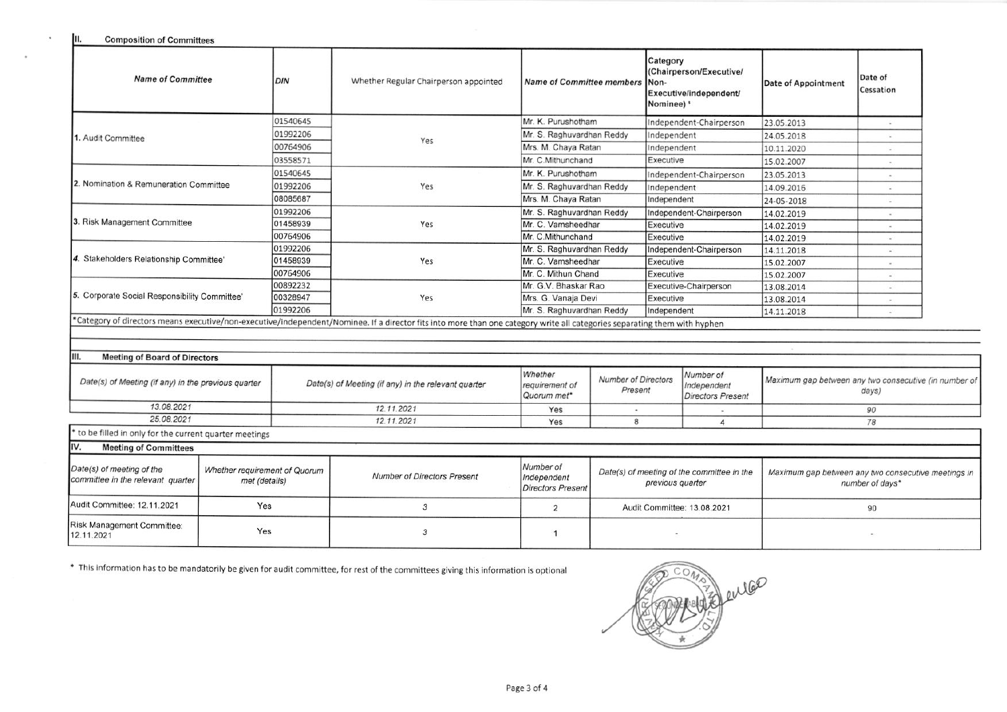JII. **Composition of Committees** 

 $\cdot$ 

×.

| <b>Name of Committee</b><br>DIN                                                                                  |     |                                                     | Whether Regular Chairperson appointed                                                                                                                                     |                                                                                               | Name of Committee members Non-   |                                            | Category<br>(Chairperson/Executive/<br>Executive/independent/<br>Nominee) ' | Date of Appointment | Date of<br>Cessation |  |  |
|------------------------------------------------------------------------------------------------------------------|-----|-----------------------------------------------------|---------------------------------------------------------------------------------------------------------------------------------------------------------------------------|-----------------------------------------------------------------------------------------------|----------------------------------|--------------------------------------------|-----------------------------------------------------------------------------|---------------------|----------------------|--|--|
|                                                                                                                  |     | 01540645                                            |                                                                                                                                                                           |                                                                                               | Mr. K. Purushotham               |                                            | Independent-Chairperson                                                     | 23.05.2013          |                      |  |  |
| 1. Audit Committee                                                                                               |     |                                                     |                                                                                                                                                                           |                                                                                               | Mr. S. Raghuvardhan Reddy        |                                            | Independent                                                                 | 24.05.2018          |                      |  |  |
|                                                                                                                  |     | 00764906                                            | Yes                                                                                                                                                                       |                                                                                               | Mrs. M. Chaya Ratan              |                                            | Independent                                                                 | 10.11.2020          |                      |  |  |
|                                                                                                                  |     | 03558571                                            |                                                                                                                                                                           |                                                                                               | Mr. C.Mithunchand                |                                            | Executive                                                                   | 15.02.2007          |                      |  |  |
|                                                                                                                  |     | 01540645                                            |                                                                                                                                                                           |                                                                                               | Mr. K. Purushotham               |                                            | Independent-Chairperson                                                     | 23.05.2013          |                      |  |  |
| 2. Nomination & Remuneration Committee                                                                           |     | 01992206                                            | Yes                                                                                                                                                                       |                                                                                               | Mr. S. Raghuvardhan Reddy        |                                            | Independent                                                                 | 14.09.2016          |                      |  |  |
|                                                                                                                  |     | 08085687                                            |                                                                                                                                                                           |                                                                                               | Mrs. M. Chaya Ratan              |                                            | Independent                                                                 | 24-05-2018          |                      |  |  |
|                                                                                                                  |     | 01992206                                            |                                                                                                                                                                           | Mr. S. Raghuvardhan Reddy                                                                     |                                  |                                            | Independent-Chairperson                                                     | 14.02.2019          |                      |  |  |
| 3. Risk Management Committee                                                                                     |     | 01458939                                            | Yes                                                                                                                                                                       |                                                                                               | Mr. C. Vamsheedhar<br>Executive  |                                            |                                                                             | 14.02.2019          | $\sim$               |  |  |
|                                                                                                                  |     | 00764906                                            |                                                                                                                                                                           | Mr. C.Mithunchand                                                                             |                                  | Executive                                  |                                                                             | 14.02.2019          |                      |  |  |
|                                                                                                                  |     | 01992206                                            |                                                                                                                                                                           | Mr. S. Raghuvardhan Reddy                                                                     |                                  | Independent-Chairperson                    |                                                                             | 14.11.2018          | W.                   |  |  |
| 4. Stakeholders Relationship Committee'                                                                          |     | 01458939                                            | Yes                                                                                                                                                                       |                                                                                               | Mr. C. Vamsheedhar<br>Executive  |                                            |                                                                             | 15.02.2007          | <b>Sec.</b>          |  |  |
|                                                                                                                  |     | 00764906                                            |                                                                                                                                                                           |                                                                                               | Mr. C. Mithun Chand<br>Executive |                                            |                                                                             | 15.02.2007          |                      |  |  |
| 5. Corporate Social Responsibility Committee'                                                                    |     | 00892232                                            |                                                                                                                                                                           | Mr. G.V. Bhaskar Rao                                                                          |                                  |                                            | Executive-Chairperson                                                       | 13.08.2014          |                      |  |  |
|                                                                                                                  |     | 00328947                                            | Yes                                                                                                                                                                       |                                                                                               | Mrs. G. Vanaja Devi              |                                            | Executive                                                                   | 13.08.2014          | $\sim$               |  |  |
|                                                                                                                  |     | 01992206                                            |                                                                                                                                                                           |                                                                                               | Mr. S. Raghuvardhan Reddy        |                                            | Independent                                                                 | 14.11.2018          | Call                 |  |  |
|                                                                                                                  |     |                                                     | *Category of directors means executive/non-executive/independent/Nominee. If a director fits into more than one category write all categories separating them with hyphen |                                                                                               |                                  |                                            |                                                                             |                     |                      |  |  |
|                                                                                                                  |     |                                                     |                                                                                                                                                                           |                                                                                               |                                  |                                            |                                                                             |                     |                      |  |  |
| III.<br><b>Meeting of Board of Directors</b>                                                                     |     |                                                     |                                                                                                                                                                           |                                                                                               |                                  |                                            |                                                                             |                     |                      |  |  |
|                                                                                                                  |     |                                                     |                                                                                                                                                                           |                                                                                               |                                  |                                            |                                                                             |                     |                      |  |  |
| Date(s) of Meeting (if any) in the previous quarter                                                              |     | Date(s) of Meeting (if any) in the relevant quarter | Whether<br>requirement of<br>Quorum met*                                                                                                                                  | Number of<br><b>Number of Directors</b><br>Independent<br>Present<br><b>Directors Present</b> |                                  |                                            | Maximum gap between any two consecutive (in number of<br>days)              |                     |                      |  |  |
| 13.08.2021                                                                                                       |     |                                                     | 12.11.2021                                                                                                                                                                |                                                                                               |                                  |                                            |                                                                             | 90                  |                      |  |  |
| 25.08.2021                                                                                                       |     | 12.11.2021                                          | Yes                                                                                                                                                                       | 8                                                                                             |                                  | 4                                          | 78                                                                          |                     |                      |  |  |
| to be filled in only for the current quarter meetings                                                            |     |                                                     |                                                                                                                                                                           |                                                                                               |                                  |                                            |                                                                             |                     |                      |  |  |
| IV.<br><b>Meeting of Committees</b>                                                                              |     |                                                     |                                                                                                                                                                           |                                                                                               |                                  |                                            |                                                                             |                     |                      |  |  |
| Date(s) of meeting of the<br>Whether requirement of Quorum<br>committee in the relevant quarter<br>met (details) |     | <b>Number of Directors Present</b>                  | Number of<br>Independent<br><b>Directors Present</b>                                                                                                                      |                                                                                               | previous quarter                 | Date(s) of meeting of the committee in the | Maximum gap between any two consecutive meetings in<br>number of days*      |                     |                      |  |  |
| Audit Committee: 12.11.2021                                                                                      | Yes |                                                     | 3                                                                                                                                                                         | $\overline{2}$                                                                                |                                  | Audit Committee: 13.08.2021                |                                                                             | 90                  |                      |  |  |
| Risk Management Committee:<br>Yes<br>12.11.2021                                                                  |     | 3                                                   | $\mathbf{1}$                                                                                                                                                              |                                                                                               |                                  |                                            |                                                                             |                     |                      |  |  |

\* This information has to be mandatorily be given for audit committee, for rest of the committees giving this information is optional

enter